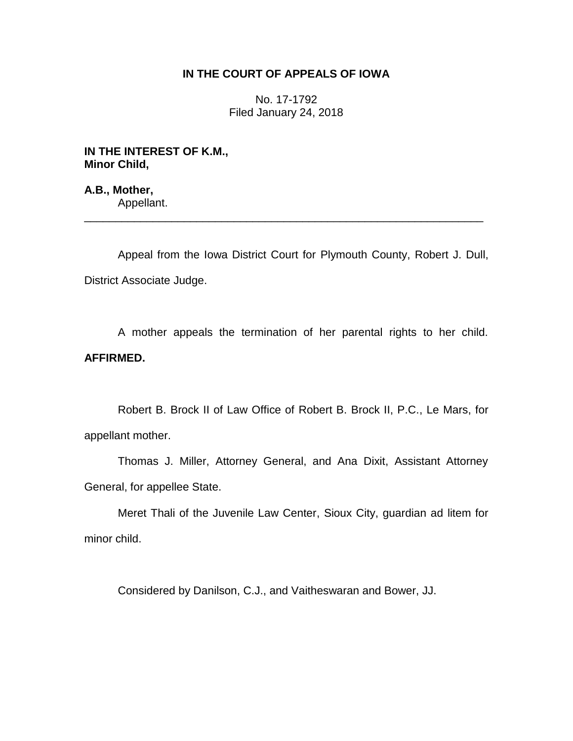## **IN THE COURT OF APPEALS OF IOWA**

No. 17-1792 Filed January 24, 2018

**IN THE INTEREST OF K.M., Minor Child,**

**A.B., Mother,** Appellant.

Appeal from the Iowa District Court for Plymouth County, Robert J. Dull, District Associate Judge.

\_\_\_\_\_\_\_\_\_\_\_\_\_\_\_\_\_\_\_\_\_\_\_\_\_\_\_\_\_\_\_\_\_\_\_\_\_\_\_\_\_\_\_\_\_\_\_\_\_\_\_\_\_\_\_\_\_\_\_\_\_\_\_\_

A mother appeals the termination of her parental rights to her child. **AFFIRMED.**

Robert B. Brock II of Law Office of Robert B. Brock II, P.C., Le Mars, for appellant mother.

Thomas J. Miller, Attorney General, and Ana Dixit, Assistant Attorney General, for appellee State.

Meret Thali of the Juvenile Law Center, Sioux City, guardian ad litem for minor child.

Considered by Danilson, C.J., and Vaitheswaran and Bower, JJ.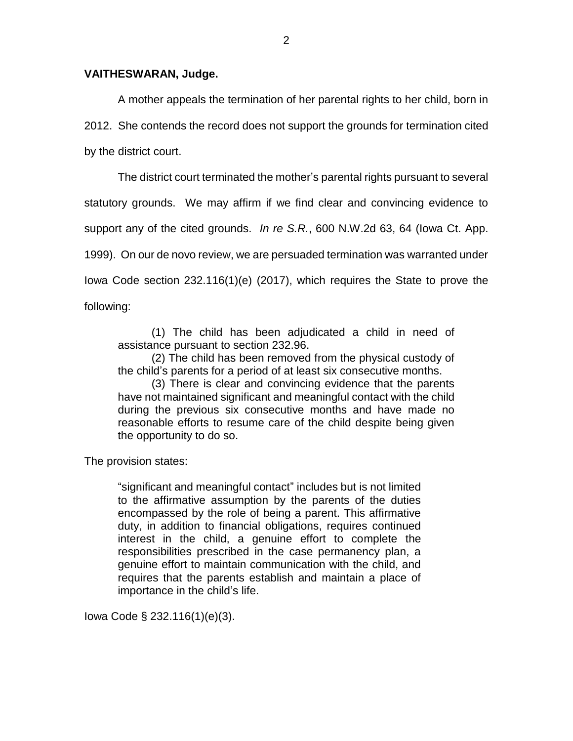## **VAITHESWARAN, Judge.**

A mother appeals the termination of her parental rights to her child, born in 2012. She contends the record does not support the grounds for termination cited by the district court.

The district court terminated the mother's parental rights pursuant to several statutory grounds. We may affirm if we find clear and convincing evidence to support any of the cited grounds. *In re S.R.*, 600 N.W.2d 63, 64 (Iowa Ct. App. 1999). On our de novo review, we are persuaded termination was warranted under Iowa Code section 232.116(1)(e) (2017), which requires the State to prove the following:

(1) The child has been adjudicated a child in need of assistance pursuant to section 232.96.

(2) The child has been removed from the physical custody of the child's parents for a period of at least six consecutive months.

(3) There is clear and convincing evidence that the parents have not maintained significant and meaningful contact with the child during the previous six consecutive months and have made no reasonable efforts to resume care of the child despite being given the opportunity to do so.

The provision states:

"significant and meaningful contact" includes but is not limited to the affirmative assumption by the parents of the duties encompassed by the role of being a parent. This affirmative duty, in addition to financial obligations, requires continued interest in the child, a genuine effort to complete the responsibilities prescribed in the case permanency plan, a genuine effort to maintain communication with the child, and requires that the parents establish and maintain a place of importance in the child's life.

Iowa Code § 232.116(1)(e)(3).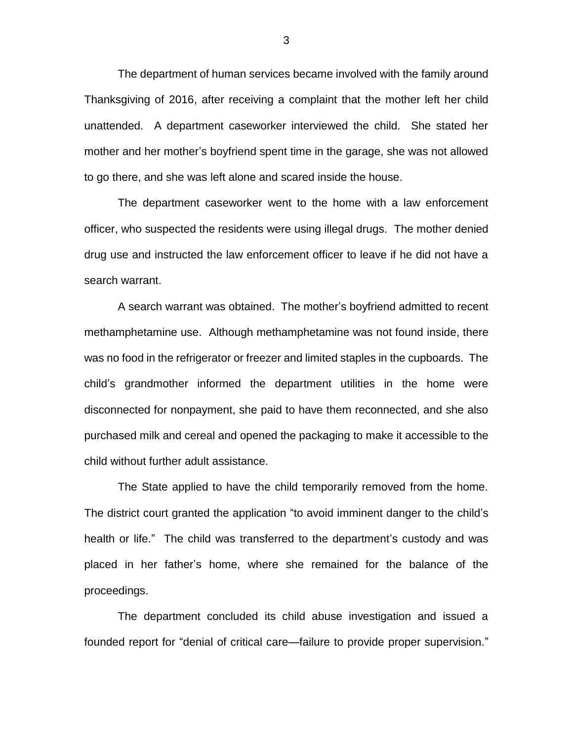The department of human services became involved with the family around Thanksgiving of 2016, after receiving a complaint that the mother left her child unattended. A department caseworker interviewed the child. She stated her mother and her mother's boyfriend spent time in the garage, she was not allowed to go there, and she was left alone and scared inside the house.

The department caseworker went to the home with a law enforcement officer, who suspected the residents were using illegal drugs. The mother denied drug use and instructed the law enforcement officer to leave if he did not have a search warrant.

A search warrant was obtained. The mother's boyfriend admitted to recent methamphetamine use. Although methamphetamine was not found inside, there was no food in the refrigerator or freezer and limited staples in the cupboards. The child's grandmother informed the department utilities in the home were disconnected for nonpayment, she paid to have them reconnected, and she also purchased milk and cereal and opened the packaging to make it accessible to the child without further adult assistance.

The State applied to have the child temporarily removed from the home. The district court granted the application "to avoid imminent danger to the child's health or life." The child was transferred to the department's custody and was placed in her father's home, where she remained for the balance of the proceedings.

The department concluded its child abuse investigation and issued a founded report for "denial of critical care—failure to provide proper supervision."

3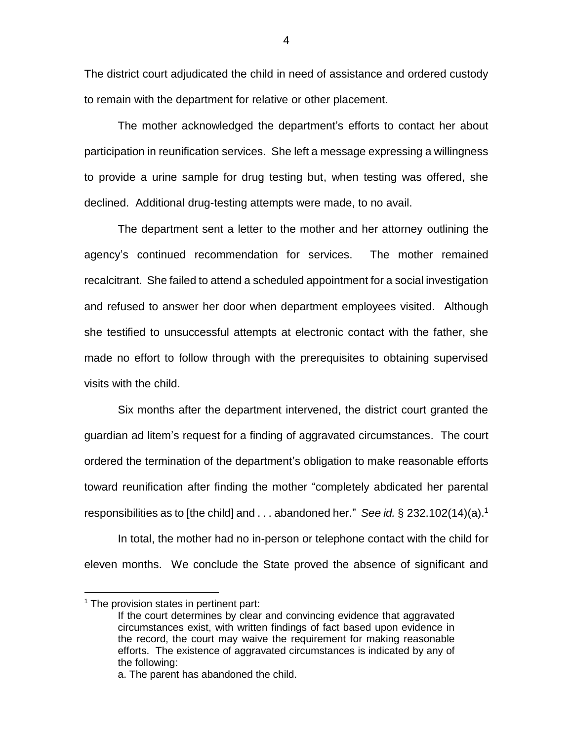The district court adjudicated the child in need of assistance and ordered custody to remain with the department for relative or other placement.

The mother acknowledged the department's efforts to contact her about participation in reunification services. She left a message expressing a willingness to provide a urine sample for drug testing but, when testing was offered, she declined. Additional drug-testing attempts were made, to no avail.

The department sent a letter to the mother and her attorney outlining the agency's continued recommendation for services. The mother remained recalcitrant. She failed to attend a scheduled appointment for a social investigation and refused to answer her door when department employees visited. Although she testified to unsuccessful attempts at electronic contact with the father, she made no effort to follow through with the prerequisites to obtaining supervised visits with the child.

Six months after the department intervened, the district court granted the guardian ad litem's request for a finding of aggravated circumstances. The court ordered the termination of the department's obligation to make reasonable efforts toward reunification after finding the mother "completely abdicated her parental responsibilities as to [the child] and . . . abandoned her." *See id.* § 232.102(14)(a). 1

In total, the mother had no in-person or telephone contact with the child for eleven months. We conclude the State proved the absence of significant and

 $\overline{a}$ 

4

 $1$  The provision states in pertinent part:

If the court determines by clear and convincing evidence that aggravated circumstances exist, with written findings of fact based upon evidence in the record, the court may waive the requirement for making reasonable efforts. The existence of aggravated circumstances is indicated by any of the following:

a. The parent has abandoned the child.